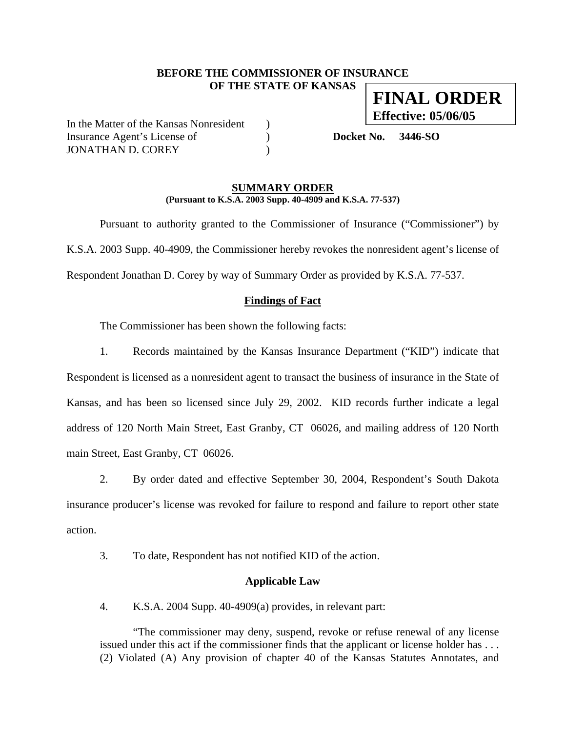## **BEFORE THE COMMISSIONER OF INSURANCE OF THE STATE OF KANSAS FINAL ORDER**

In the Matter of the Kansas Nonresident ) Insurance Agent's License of ) **Docket No. 3446-SO** JONATHAN D. COREY )

**Effective: 05/06/05**

#### **SUMMARY ORDER (Pursuant to K.S.A. 2003 Supp. 40-4909 and K.S.A. 77-537)**

 Pursuant to authority granted to the Commissioner of Insurance ("Commissioner") by K.S.A. 2003 Supp. 40-4909, the Commissioner hereby revokes the nonresident agent's license of Respondent Jonathan D. Corey by way of Summary Order as provided by K.S.A. 77-537.

## **Findings of Fact**

The Commissioner has been shown the following facts:

1. Records maintained by the Kansas Insurance Department ("KID") indicate that Respondent is licensed as a nonresident agent to transact the business of insurance in the State of Kansas, and has been so licensed since July 29, 2002. KID records further indicate a legal address of 120 North Main Street, East Granby, CT 06026, and mailing address of 120 North main Street, East Granby, CT 06026.

2. By order dated and effective September 30, 2004, Respondent's South Dakota insurance producer's license was revoked for failure to respond and failure to report other state action.

3. To date, Respondent has not notified KID of the action.

## **Applicable Law**

4. K.S.A. 2004 Supp. 40-4909(a) provides, in relevant part:

"The commissioner may deny, suspend, revoke or refuse renewal of any license issued under this act if the commissioner finds that the applicant or license holder has . . . (2) Violated (A) Any provision of chapter 40 of the Kansas Statutes Annotates, and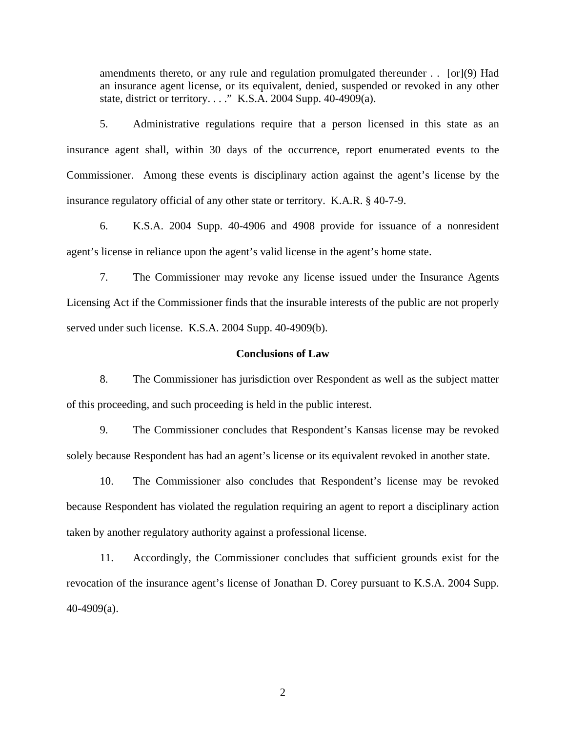amendments thereto, or any rule and regulation promulgated thereunder . . [or](9) Had an insurance agent license, or its equivalent, denied, suspended or revoked in any other state, district or territory. . . ." K.S.A. 2004 Supp. 40-4909(a).

5. Administrative regulations require that a person licensed in this state as an insurance agent shall, within 30 days of the occurrence, report enumerated events to the Commissioner. Among these events is disciplinary action against the agent's license by the insurance regulatory official of any other state or territory. K.A.R. § 40-7-9.

6. K.S.A. 2004 Supp. 40-4906 and 4908 provide for issuance of a nonresident agent's license in reliance upon the agent's valid license in the agent's home state.

7. The Commissioner may revoke any license issued under the Insurance Agents Licensing Act if the Commissioner finds that the insurable interests of the public are not properly served under such license. K.S.A. 2004 Supp. 40-4909(b).

#### **Conclusions of Law**

8. The Commissioner has jurisdiction over Respondent as well as the subject matter of this proceeding, and such proceeding is held in the public interest.

9. The Commissioner concludes that Respondent's Kansas license may be revoked solely because Respondent has had an agent's license or its equivalent revoked in another state.

10. The Commissioner also concludes that Respondent's license may be revoked because Respondent has violated the regulation requiring an agent to report a disciplinary action taken by another regulatory authority against a professional license.

11. Accordingly, the Commissioner concludes that sufficient grounds exist for the revocation of the insurance agent's license of Jonathan D. Corey pursuant to K.S.A. 2004 Supp. 40-4909(a).

2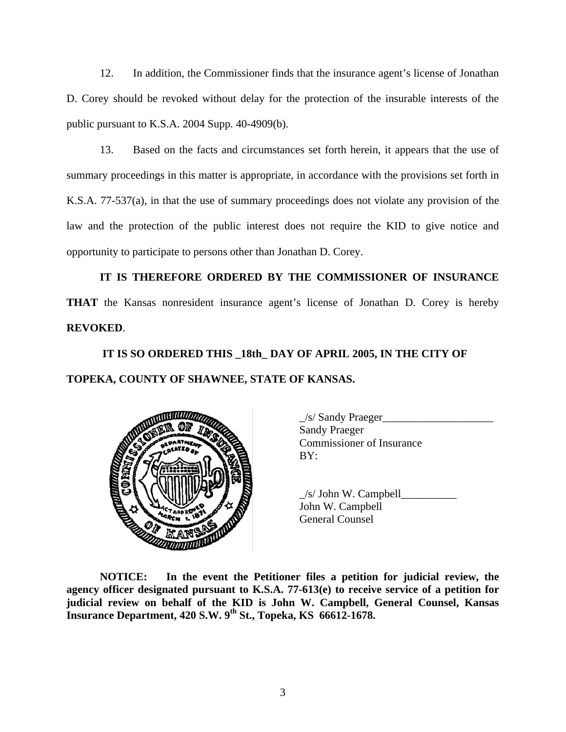12. In addition, the Commissioner finds that the insurance agent's license of Jonathan D. Corey should be revoked without delay for the protection of the insurable interests of the public pursuant to K.S.A. 2004 Supp. 40-4909(b).

13. Based on the facts and circumstances set forth herein, it appears that the use of summary proceedings in this matter is appropriate, in accordance with the provisions set forth in K.S.A. 77-537(a), in that the use of summary proceedings does not violate any provision of the law and the protection of the public interest does not require the KID to give notice and opportunity to participate to persons other than Jonathan D. Corey.

**IT IS THEREFORE ORDERED BY THE COMMISSIONER OF INSURANCE THAT** the Kansas nonresident insurance agent's license of Jonathan D. Corey is hereby **REVOKED**.

# **IT IS SO ORDERED THIS \_18th\_ DAY OF APRIL 2005, IN THE CITY OF TOPEKA, COUNTY OF SHAWNEE, STATE OF KANSAS.**



 \_/s/ Sandy Praeger\_\_\_\_\_\_\_\_\_\_\_\_\_\_\_\_\_\_\_\_ Sandy Praeger Commissioner of Insurance

 $/s$  John W. Campbell John W. Campbell General Counsel

**NOTICE: In the event the Petitioner files a petition for judicial review, the agency officer designated pursuant to K.S.A. 77-613(e) to receive service of a petition for judicial review on behalf of the KID is John W. Campbell, General Counsel, Kansas Insurance Department, 420 S.W. 9th St., Topeka, KS 66612-1678.**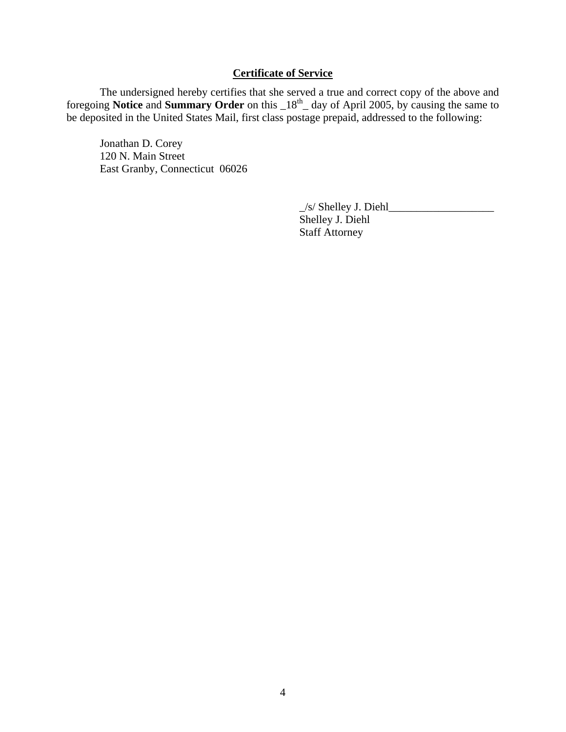# **Certificate of Service**

 The undersigned hereby certifies that she served a true and correct copy of the above and foregoing **Notice** and **Summary Order** on this  $18<sup>th</sup>$  day of April 2005, by causing the same to be deposited in the United States Mail, first class postage prepaid, addressed to the following:

 Jonathan D. Corey 120 N. Main Street East Granby, Connecticut 06026

> \_/s/ Shelley J. Diehl\_\_\_\_\_\_\_\_\_\_\_\_\_\_\_\_\_\_\_ Shelley J. Diehl Staff Attorney